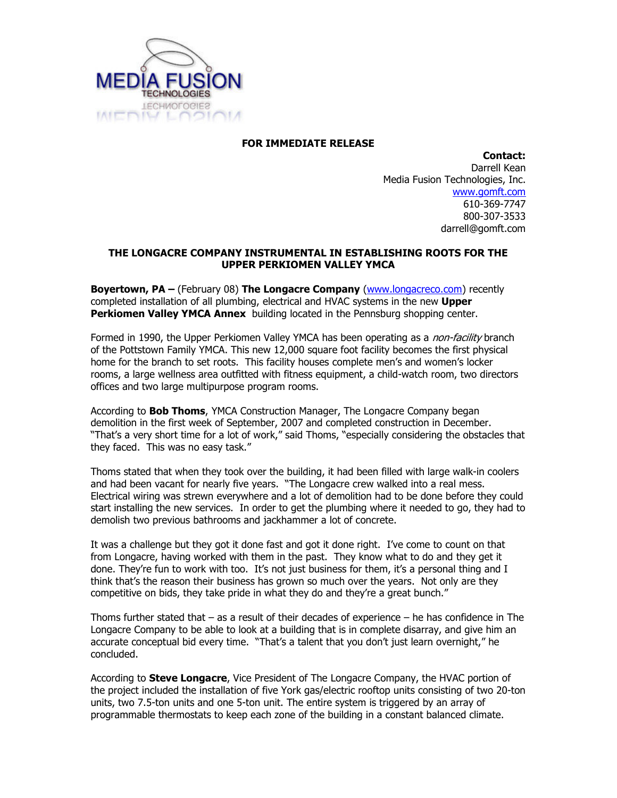

## FOR IMMEDIATE RELEASE

Contact: Darrell Kean Media Fusion Technologies, Inc. www.gomft.com 610-369-7747 800-307-3533 darrell@gomft.com

## THE LONGACRE COMPANY INSTRUMENTAL IN ESTABLISHING ROOTS FOR THE UPPER PERKIOMEN VALLEY YMCA

**Boyertown, PA** – (February 08) **The Longacre Company** (www.longacreco.com) recently completed installation of all plumbing, electrical and HVAC systems in the new **Upper Perkiomen Valley YMCA Annex** building located in the Pennsburg shopping center.

Formed in 1990, the Upper Perkiomen Valley YMCA has been operating as a *non-facility* branch of the Pottstown Family YMCA. This new 12,000 square foot facility becomes the first physical home for the branch to set roots. This facility houses complete men's and women's locker rooms, a large wellness area outfitted with fitness equipment, a child-watch room, two directors offices and two large multipurpose program rooms.

According to **Bob Thoms**, YMCA Construction Manager, The Longacre Company began demolition in the first week of September, 2007 and completed construction in December. "That's a very short time for a lot of work," said Thoms, "especially considering the obstacles that they faced. This was no easy task."

Thoms stated that when they took over the building, it had been filled with large walk-in coolers and had been vacant for nearly five years. "The Longacre crew walked into a real mess. Electrical wiring was strewn everywhere and a lot of demolition had to be done before they could start installing the new services. In order to get the plumbing where it needed to go, they had to demolish two previous bathrooms and jackhammer a lot of concrete.

It was a challenge but they got it done fast and got it done right. I've come to count on that from Longacre, having worked with them in the past. They know what to do and they get it done. They're fun to work with too. It's not just business for them, it's a personal thing and I think that's the reason their business has grown so much over the years. Not only are they competitive on bids, they take pride in what they do and they're a great bunch."

Thoms further stated that – as a result of their decades of experience – he has confidence in The Longacre Company to be able to look at a building that is in complete disarray, and give him an accurate conceptual bid every time. "That's a talent that you don't just learn overnight," he concluded.

According to **Steve Longacre**, Vice President of The Longacre Company, the HVAC portion of the project included the installation of five York gas/electric rooftop units consisting of two 20-ton units, two 7.5-ton units and one 5-ton unit. The entire system is triggered by an array of programmable thermostats to keep each zone of the building in a constant balanced climate.